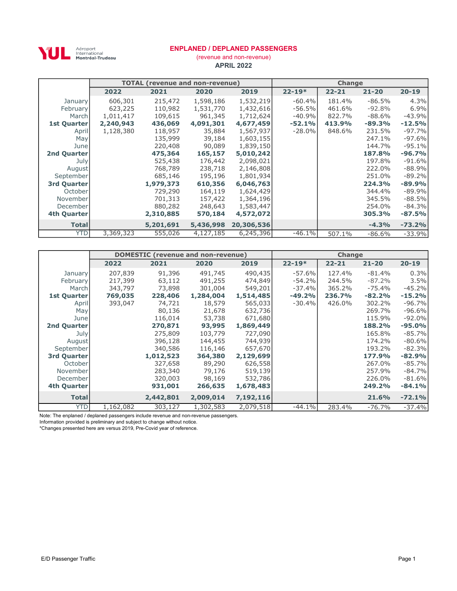

Aéroport<br>International<br>**Montréal-Trudeau** 

### ENPLANED / DEPLANED PASSENGERS

APRIL 2022 (revenue and non-revenue)

|                    |           | <b>TOTAL (revenue and non-revenue)</b> |           |            |            | <b>Change</b> |           |           |
|--------------------|-----------|----------------------------------------|-----------|------------|------------|---------------|-----------|-----------|
|                    | 2022      | 2021                                   | 2020      | 2019       | $22 - 19*$ | $22 - 21$     | $21 - 20$ | $20 - 19$ |
| January            | 606,301   | 215,472                                | 1,598,186 | 1,532,219  | $-60.4%$   | 181.4%        | $-86.5%$  | 4.3%      |
| February           | 623,225   | 110,982                                | 1,531,770 | 1,432,616  | $-56.5%$   | 461.6%        | $-92.8%$  | 6.9%      |
| March              | 1,011,417 | 109,615                                | 961,345   | 1,712,624  | $-40.9%$   | 822.7%        | $-88.6\%$ | $-43.9%$  |
| <b>1st Quarter</b> | 2,240,943 | 436,069                                | 4,091,301 | 4,677,459  | $-52.1%$   | 413.9%        | $-89.3%$  | $-12.5%$  |
| April              | 1,128,380 | 118,957                                | 35,884    | 1,567,937  | $-28.0%$   | 848.6%        | 231.5%    | $-97.7%$  |
| May                |           | 135,999                                | 39,184    | 1,603,155  |            |               | 247.1%    | $-97.6%$  |
| June               |           | 220,408                                | 90,089    | 1,839,150  |            |               | 144.7%    | $-95.1%$  |
| 2nd Quarter        |           | 475,364                                | 165,157   | 5,010,242  |            |               | 187.8%    | $-96.7%$  |
| July               |           | 525,438                                | 176,442   | 2,098,021  |            |               | 197.8%    | $-91.6%$  |
| August             |           | 768,789                                | 238,718   | 2,146,808  |            |               | 222.0%    | $-88.9%$  |
| September          |           | 685,146                                | 195,196   | 1,801,934  |            |               | 251.0%    | $-89.2%$  |
| 3rd Quarter        |           | 1,979,373                              | 610,356   | 6,046,763  |            |               | 224.3%    | $-89.9%$  |
| October            |           | 729,290                                | 164,119   | 1,624,429  |            |               | 344.4%    | $-89.9%$  |
| November           |           | 701,313                                | 157,422   | 1,364,196  |            |               | 345.5%    | $-88.5%$  |
| December           |           | 880,282                                | 248,643   | 1,583,447  |            |               | 254.0%    | $-84.3%$  |
| 4th Quarter        |           | 2,310,885                              | 570,184   | 4,572,072  |            |               | 305.3%    | $-87.5%$  |
| <b>Total</b>       |           | 5,201,691                              | 5,436,998 | 20,306,536 |            |               | $-4.3%$   | $-73.2%$  |
| <b>YTD</b>         | 3,369,323 | 555,026                                | 4,127,185 | 6,245,396  | $-46.1%$   | 507.1%        | -86.6%    | $-33.9%$  |

|                    |           | <b>DOMESTIC</b> (revenue and non-revenue) |           |           |            |           | Change<br>$21 - 20$<br>$-81.4%$<br>$-87.2%$<br>$-75.4%$<br>$-82.2%$<br>302.2%<br>269.7%<br>115.9%<br>188.2%<br>165.8%<br>174.2%<br>193.2%<br>177.9%<br>267.0%<br>257.9%<br>226.0% |           |
|--------------------|-----------|-------------------------------------------|-----------|-----------|------------|-----------|-----------------------------------------------------------------------------------------------------------------------------------------------------------------------------------|-----------|
|                    | 2022      | 2021                                      | 2020      | 2019      | $22 - 19*$ | $22 - 21$ |                                                                                                                                                                                   | $20 - 19$ |
| January            | 207,839   | 91,396                                    | 491,745   | 490,435   | $-57.6%$   | 127.4%    |                                                                                                                                                                                   | 0.3%      |
| February           | 217,399   | 63,112                                    | 491,255   | 474,849   | $-54.2%$   | 244.5%    |                                                                                                                                                                                   | 3.5%      |
| March              | 343,797   | 73,898                                    | 301,004   | 549,201   | $-37.4%$   | 365.2%    |                                                                                                                                                                                   | $-45.2%$  |
| 1st Quarter        | 769,035   | 228,406                                   | 1,284,004 | 1,514,485 | $-49.2%$   | 236.7%    |                                                                                                                                                                                   | $-15.2%$  |
| April              | 393,047   | 74,721                                    | 18,579    | 565,033   | $-30.4%$   | 426.0%    |                                                                                                                                                                                   | $-96.7%$  |
| May                |           | 80,136                                    | 21,678    | 632,736   |            |           |                                                                                                                                                                                   | $-96.6%$  |
| June               |           | 116,014                                   | 53,738    | 671,680   |            |           |                                                                                                                                                                                   | $-92.0%$  |
| 2nd Quarter        |           | 270,871                                   | 93,995    | 1,869,449 |            |           |                                                                                                                                                                                   | $-95.0%$  |
| July               |           | 275,809                                   | 103,779   | 727,090   |            |           |                                                                                                                                                                                   | $-85.7%$  |
| August             |           | 396,128                                   | 144,455   | 744,939   |            |           |                                                                                                                                                                                   | $-80.6%$  |
| September          |           | 340,586                                   | 116,146   | 657,670   |            |           |                                                                                                                                                                                   | $-82.3%$  |
| 3rd Quarter        |           | 1,012,523                                 | 364,380   | 2,129,699 |            |           |                                                                                                                                                                                   | $-82.9%$  |
| October            |           | 327,658                                   | 89,290    | 626,558   |            |           |                                                                                                                                                                                   | $-85.7%$  |
| November           |           | 283,340                                   | 79,176    | 519,139   |            |           |                                                                                                                                                                                   | $-84.7%$  |
| December           |           | 320,003                                   | 98,169    | 532,786   |            |           |                                                                                                                                                                                   | $-81.6%$  |
| <b>4th Quarter</b> |           | 931,001                                   | 266,635   | 1,678,483 |            |           | 249.2%                                                                                                                                                                            | $-84.1%$  |
| <b>Total</b>       |           | 2,442,801                                 | 2,009,014 | 7,192,116 |            |           | 21.6%                                                                                                                                                                             | $-72.1%$  |
| <b>YTD</b>         | 1,162,082 | 303,127                                   | 1,302,583 | 2,079,518 | $-44.1%$   | 283.4%    | $-76.7\%$                                                                                                                                                                         | $-37.4%$  |

Note: The enplaned / deplaned passengers include revenue and non-revenue passengers.

Information provided is preliminary and subject to change without notice.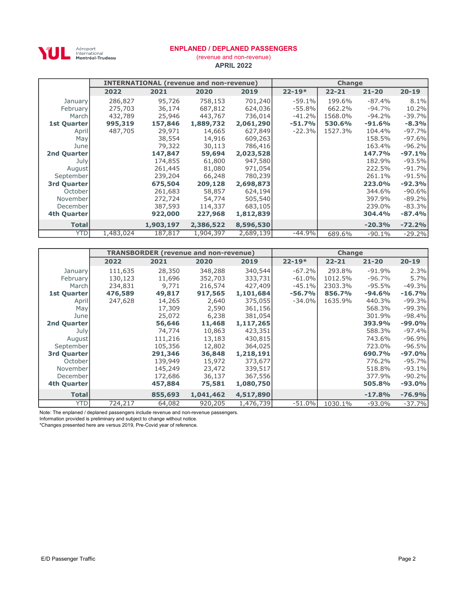

Aéroport<br>International<br>**Montréal-Trudeau** 

### ENPLANED / DEPLANED PASSENGERS

APRIL 2022 (revenue and non-revenue)

|              |           |           | <b>INTERNATIONAL (revenue and non-revenue)</b> |           |            | <b>Change</b> |           |           |
|--------------|-----------|-----------|------------------------------------------------|-----------|------------|---------------|-----------|-----------|
|              | 2022      | 2021      | 2020                                           | 2019      | $22 - 19*$ | $22 - 21$     | $21 - 20$ | $20 - 19$ |
| January      | 286,827   | 95,726    | 758,153                                        | 701,240   | $-59.1%$   | 199.6%        | $-87.4%$  | 8.1%      |
| February     | 275,703   | 36,174    | 687,812                                        | 624,036   | $-55.8%$   | 662.2%        | $-94.7%$  | 10.2%     |
| March        | 432,789   | 25,946    | 443,767                                        | 736,014   | $-41.2%$   | 1568.0%       | $-94.2%$  | $-39.7%$  |
| 1st Quarter  | 995,319   | 157,846   | 1,889,732                                      | 2,061,290 | $-51.7%$   | 530.6%        | $-91.6%$  | $-8.3%$   |
| April        | 487,705   | 29,971    | 14,665                                         | 627,849   | $-22.3%$   | 1527.3%       | 104.4%    | $-97.7%$  |
| May          |           | 38,554    | 14,916                                         | 609,263   |            |               | 158.5%    | $-97.6%$  |
| June         |           | 79,322    | 30,113                                         | 786,416   |            |               | 163.4%    | $-96.2%$  |
| 2nd Quarter  |           | 147,847   | 59,694                                         | 2,023,528 |            |               | 147.7%    | $-97.1%$  |
| July         |           | 174,855   | 61,800                                         | 947,580   |            |               | 182.9%    | $-93.5%$  |
| August       |           | 261,445   | 81,080                                         | 971,054   |            |               | 222.5%    | $-91.7%$  |
| September    |           | 239,204   | 66,248                                         | 780,239   |            |               | 261.1%    | $-91.5%$  |
| 3rd Quarter  |           | 675,504   | 209,128                                        | 2,698,873 |            |               | 223.0%    | $-92.3%$  |
| October      |           | 261,683   | 58,857                                         | 624,194   |            |               | 344.6%    | $-90.6%$  |
| November     |           | 272,724   | 54,774                                         | 505,540   |            |               | 397.9%    | $-89.2%$  |
| December     |           | 387,593   | 114,337                                        | 683,105   |            |               | 239.0%    | $-83.3%$  |
| 4th Quarter  |           | 922,000   | 227,968                                        | 1,812,839 |            |               | 304.4%    | $-87.4%$  |
| <b>Total</b> |           | 1,903,197 | 2,386,522                                      | 8,596,530 |            |               | $-20.3%$  | $-72.2%$  |
| <b>YTD</b>   | 1,483,024 | 187,817   | 1,904,397                                      | 2,689,139 | $-44.9%$   | 689.6%        | $-90.1%$  | $-29.2%$  |

|              |         |         | <b>TRANSBORDER (revenue and non-revenue)</b> |           |            | <b>Change</b> |           |           |
|--------------|---------|---------|----------------------------------------------|-----------|------------|---------------|-----------|-----------|
|              | 2022    | 2021    | 2020                                         | 2019      | $22 - 19*$ | $22 - 21$     | $21 - 20$ | $20 - 19$ |
| January      | 111,635 | 28,350  | 348,288                                      | 340,544   | $-67.2%$   | 293.8%        | $-91.9%$  | 2.3%      |
| February     | 130,123 | 11,696  | 352,703                                      | 333,731   | $-61.0%$   | 1012.5%       | $-96.7%$  | 5.7%      |
| March        | 234,831 | 9,771   | 216,574                                      | 427,409   | $-45.1%$   | 2303.3%       | $-95.5%$  | $-49.3%$  |
| 1st Quarter  | 476,589 | 49,817  | 917,565                                      | 1,101,684 | $-56.7%$   | 856.7%        | $-94.6%$  | $-16.7%$  |
| April        | 247,628 | 14,265  | 2,640                                        | 375,055   | $-34.0%$   | 1635.9%       | 440.3%    | $-99.3%$  |
| May          |         | 17,309  | 2,590                                        | 361,156   |            |               | 568.3%    | $-99.3%$  |
| June         |         | 25,072  | 6,238                                        | 381,054   |            |               | 301.9%    | $-98.4%$  |
| 2nd Quarter  |         | 56,646  | 11,468                                       | 1,117,265 |            |               | 393.9%    | $-99.0%$  |
| July         |         | 74,774  | 10,863                                       | 423,351   |            |               | 588.3%    | $-97.4%$  |
| August       |         | 111,216 | 13,183                                       | 430,815   |            |               | 743.6%    | $-96.9%$  |
| September    |         | 105,356 | 12,802                                       | 364,025   |            |               | 723.0%    | $-96.5%$  |
| 3rd Quarter  |         | 291,346 | 36,848                                       | 1,218,191 |            |               | 690.7%    | $-97.0%$  |
| October      |         | 139,949 | 15,972                                       | 373,677   |            |               | 776.2%    | $-95.7%$  |
| November     |         | 145,249 | 23,472                                       | 339,517   |            |               | 518.8%    | $-93.1%$  |
| December     |         | 172,686 | 36,137                                       | 367,556   |            |               | 377.9%    | $-90.2%$  |
| 4th Quarter  |         | 457,884 | 75,581                                       | 1,080,750 |            |               | 505.8%    | $-93.0%$  |
| <b>Total</b> |         | 855,693 | 1,041,462                                    | 4,517,890 |            |               | $-17.8%$  | $-76.9%$  |
| <b>YTD</b>   | 724,217 | 64,082  | 920,205                                      | 1,476,739 | $-51.0%$   | 1030.1%       | $-93.0%$  | $-37.7%$  |

Note: The enplaned / deplaned passengers include revenue and non-revenue passengers.

Information provided is preliminary and subject to change without notice.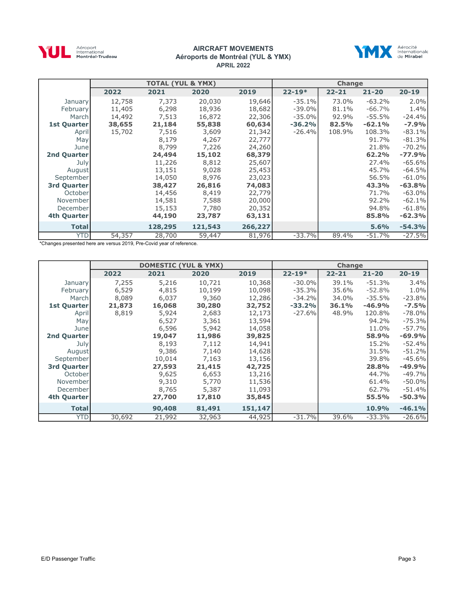

#### AIRCRAFT MOVEMENTS Aéroports de Montréal (YUL & YMX) APRIL 2022



|                    |        | <b>TOTAL (YUL &amp; YMX)</b> |         |         |            | <b>Change</b> |           |           |
|--------------------|--------|------------------------------|---------|---------|------------|---------------|-----------|-----------|
|                    | 2022   | 2021                         | 2020    | 2019    | $22 - 19*$ | $22 - 21$     | $21 - 20$ | $20 - 19$ |
| January            | 12,758 | 7,373                        | 20,030  | 19,646  | $-35.1%$   | 73.0%         | $-63.2%$  | 2.0%      |
| February           | 11,405 | 6,298                        | 18,936  | 18,682  | $-39.0\%$  | 81.1%         | $-66.7%$  | 1.4%      |
| March              | 14,492 | 7,513                        | 16,872  | 22,306  | $-35.0%$   | 92.9%         | $-55.5%$  | $-24.4%$  |
| <b>1st Quarter</b> | 38,655 | 21,184                       | 55,838  | 60,634  | $-36.2%$   | 82.5%         | $-62.1%$  | $-7.9%$   |
| April              | 15,702 | 7,516                        | 3,609   | 21,342  | $-26.4%$   | 108.9%        | 108.3%    | $-83.1%$  |
| May                |        | 8,179                        | 4,267   | 22,777  |            |               | 91.7%     | $-81.3%$  |
| June               |        | 8,799                        | 7,226   | 24,260  |            |               | 21.8%     | $-70.2%$  |
| 2nd Quarter        |        | 24,494                       | 15,102  | 68,379  |            |               | 62.2%     | $-77.9%$  |
| July               |        | 11,226                       | 8,812   | 25,607  |            |               | 27.4%     | $-65.6%$  |
| August             |        | 13,151                       | 9,028   | 25,453  |            |               | 45.7%     | $-64.5%$  |
| September          |        | 14,050                       | 8,976   | 23,023  |            |               | 56.5%     | $-61.0%$  |
| 3rd Quarter        |        | 38,427                       | 26,816  | 74,083  |            |               | 43.3%     | $-63.8%$  |
| October            |        | 14,456                       | 8,419   | 22,779  |            |               | 71.7%     | $-63.0\%$ |
| November           |        | 14,581                       | 7,588   | 20,000  |            |               | 92.2%     | $-62.1%$  |
| December           |        | 15,153                       | 7,780   | 20,352  |            |               | 94.8%     | $-61.8%$  |
| 4th Quarter        |        | 44,190                       | 23,787  | 63,131  |            |               | 85.8%     | $-62.3%$  |
| <b>Total</b>       |        | 128,295                      | 121,543 | 266,227 |            |               | 5.6%      | $-54.3%$  |
| <b>YTD</b>         | 54,357 | 28,700                       | 59,447  | 81,976  | $-33.7%$   | 89.4%         | $-51.7%$  | $-27.5%$  |

|              |        | <b>DOMESTIC (YUL &amp; YMX)</b> |        |         |            | <b>Change</b> |           |           |
|--------------|--------|---------------------------------|--------|---------|------------|---------------|-----------|-----------|
|              | 2022   | 2021                            | 2020   | 2019    | $22 - 19*$ | $22 - 21$     | $21 - 20$ | $20 - 19$ |
| January      | 7,255  | 5,216                           | 10,721 | 10,368  | $-30.0%$   | 39.1%         | $-51.3%$  | 3.4%      |
| February     | 6,529  | 4,815                           | 10,199 | 10,098  | $-35.3%$   | 35.6%         | $-52.8%$  | 1.0%      |
| March        | 8,089  | 6,037                           | 9,360  | 12,286  | $-34.2%$   | 34.0%         | $-35.5%$  | $-23.8%$  |
| 1st Quarter  | 21,873 | 16,068                          | 30,280 | 32,752  | $-33.2%$   | 36.1%         | $-46.9%$  | $-7.5%$   |
| April        | 8,819  | 5,924                           | 2,683  | 12,173  | $-27.6%$   | 48.9%         | 120.8%    | $-78.0\%$ |
| May          |        | 6,527                           | 3,361  | 13,594  |            |               | 94.2%     | $-75.3%$  |
| June         |        | 6,596                           | 5,942  | 14,058  |            |               | 11.0%     | $-57.7%$  |
| 2nd Quarter  |        | 19,047                          | 11,986 | 39,825  |            |               | 58.9%     | $-69.9%$  |
| July         |        | 8,193                           | 7,112  | 14,941  |            |               | 15.2%     | $-52.4%$  |
| August       |        | 9,386                           | 7,140  | 14,628  |            |               | 31.5%     | $-51.2%$  |
| September    |        | 10,014                          | 7,163  | 13,156  |            |               | 39.8%     | $-45.6%$  |
| 3rd Quarter  |        | 27,593                          | 21,415 | 42,725  |            |               | 28.8%     | $-49.9%$  |
| October      |        | 9,625                           | 6,653  | 13,216  |            |               | 44.7%     | $-49.7%$  |
| November     |        | 9,310                           | 5,770  | 11,536  |            |               | 61.4%     | $-50.0\%$ |
| December     |        | 8,765                           | 5,387  | 11,093  |            |               | 62.7%     | $-51.4%$  |
| 4th Quarter  |        | 27,700                          | 17,810 | 35,845  |            |               | 55.5%     | $-50.3%$  |
| <b>Total</b> |        | 90,408                          | 81,491 | 151,147 |            |               | 10.9%     | $-46.1%$  |
| <b>YTD</b>   | 30,692 | 21,992                          | 32,963 | 44,925  | $-31.7%$   | 39.6%         | $-33.3%$  | $-26.6%$  |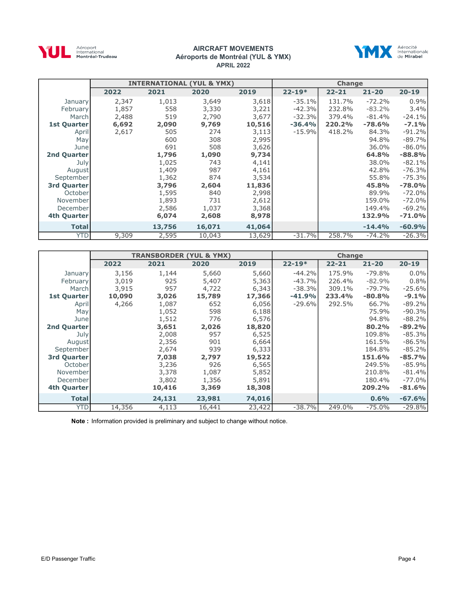

#### AIRCRAFT MOVEMENTS Aéroports de Montréal (YUL & YMX) APRIL 2022



|              |       |        | <b>INTERNATIONAL (YUL &amp; YMX)</b> |        |            | Change    |           | $20 - 19$<br>0.9%<br>3.4%<br>$-24.1%$<br>$-7.1%$<br>$-91.2%$<br>$-89.7%$<br>$-86.0\%$<br>$-88.8%$<br>$-82.1%$<br>$-76.3%$<br>$-75.3%$<br>$-78.0%$ |  |  |
|--------------|-------|--------|--------------------------------------|--------|------------|-----------|-----------|---------------------------------------------------------------------------------------------------------------------------------------------------|--|--|
|              | 2022  | 2021   | 2020                                 | 2019   | $22 - 19*$ | $22 - 21$ | $21 - 20$ |                                                                                                                                                   |  |  |
| January      | 2,347 | 1,013  | 3,649                                | 3,618  | $-35.1%$   | 131.7%    | $-72.2%$  |                                                                                                                                                   |  |  |
| February     | 1,857 | 558    | 3,330                                | 3,221  | $-42.3%$   | 232.8%    | $-83.2%$  |                                                                                                                                                   |  |  |
| Marchl       | 2,488 | 519    | 2,790                                | 3,677  | $-32.3%$   | 379.4%    | $-81.4%$  |                                                                                                                                                   |  |  |
| 1st Quarter  | 6,692 | 2,090  | 9,769                                | 10,516 | $-36.4%$   | 220.2%    | $-78.6%$  |                                                                                                                                                   |  |  |
| April        | 2,617 | 505    | 274                                  | 3,113  | $-15.9%$   | 418.2%    | 84.3%     |                                                                                                                                                   |  |  |
| May          |       | 600    | 308                                  | 2,995  |            |           | 94.8%     |                                                                                                                                                   |  |  |
| June         |       | 691    | 508                                  | 3,626  |            |           | 36.0%     |                                                                                                                                                   |  |  |
| 2nd Quarter  |       | 1,796  | 1,090                                | 9,734  |            |           | 64.8%     |                                                                                                                                                   |  |  |
| July         |       | 1,025  | 743                                  | 4,141  |            |           | 38.0%     |                                                                                                                                                   |  |  |
| August       |       | 1,409  | 987                                  | 4,161  |            |           | 42.8%     |                                                                                                                                                   |  |  |
| September    |       | 1,362  | 874                                  | 3,534  |            |           | 55.8%     |                                                                                                                                                   |  |  |
| 3rd Quarter  |       | 3,796  | 2,604                                | 11,836 |            |           | 45.8%     |                                                                                                                                                   |  |  |
| October      |       | 1,595  | 840                                  | 2,998  |            |           | 89.9%     | $-72.0%$                                                                                                                                          |  |  |
| November     |       | 1,893  | 731                                  | 2,612  |            |           | 159.0%    | $-72.0%$                                                                                                                                          |  |  |
| December     |       | 2,586  | 1,037                                | 3,368  |            |           | 149.4%    | $-69.2%$                                                                                                                                          |  |  |
| 4th Quarter  |       | 6,074  | 2,608                                | 8,978  |            |           | 132.9%    | $-71.0%$                                                                                                                                          |  |  |
| <b>Total</b> |       | 13,756 | 16,071                               | 41,064 |            |           | $-14.4%$  | $-60.9%$                                                                                                                                          |  |  |
| <b>YTD</b>   | 9,309 | 2,595  | 10,043                               | 13,629 | $-31.7%$   | 258.7%    | $-74.2%$  | $-26.3%$                                                                                                                                          |  |  |

|                    |        |        | <b>TRANSBORDER (YUL &amp; YMX)</b> |        |            | <b>Change</b> |           |           |
|--------------------|--------|--------|------------------------------------|--------|------------|---------------|-----------|-----------|
|                    | 2022   | 2021   | 2020                               | 2019   | $22 - 19*$ | $22 - 21$     | $21 - 20$ | $20 - 19$ |
| January            | 3,156  | 1,144  | 5,660                              | 5,660  | $-44.2%$   | 175.9%        | $-79.8%$  | $0.0\%$   |
| <b>February</b>    | 3,019  | 925    | 5,407                              | 5,363  | $-43.7%$   | 226.4%        | $-82.9%$  | 0.8%      |
| March              | 3,915  | 957    | 4,722                              | 6,343  | $-38.3%$   | 309.1%        | $-79.7%$  | $-25.6%$  |
| 1st Quarter        | 10,090 | 3,026  | 15,789                             | 17,366 | $-41.9%$   | 233.4%        | $-80.8%$  | $-9.1%$   |
| April              | 4,266  | 1,087  | 652                                | 6,056  | $-29.6%$   | 292.5%        | 66.7%     | $-89.2%$  |
| May                |        | 1,052  | 598                                | 6,188  |            |               | 75.9%     | $-90.3%$  |
| June               |        | 1,512  | 776                                | 6,576  |            |               | 94.8%     | $-88.2%$  |
| <b>2nd Quarter</b> |        | 3,651  | 2,026                              | 18,820 |            |               | 80.2%     | $-89.2%$  |
| July               |        | 2,008  | 957                                | 6,525  |            |               | 109.8%    | $-85.3%$  |
| August             |        | 2,356  | 901                                | 6,664  |            |               | 161.5%    | $-86.5%$  |
| September          |        | 2,674  | 939                                | 6,333  |            |               | 184.8%    | $-85.2%$  |
| 3rd Quarter        |        | 7,038  | 2,797                              | 19,522 |            |               | 151.6%    | $-85.7%$  |
| October            |        | 3,236  | 926                                | 6,565  |            |               | 249.5%    | $-85.9%$  |
| November           |        | 3,378  | 1,087                              | 5,852  |            |               | 210.8%    | $-81.4%$  |
| December           |        | 3,802  | 1,356                              | 5,891  |            |               | 180.4%    | $-77.0\%$ |
| 4th Quarter        |        | 10,416 | 3,369                              | 18,308 |            |               | 209.2%    | $-81.6%$  |
| <b>Total</b>       |        | 24,131 | 23,981                             | 74,016 |            |               | 0.6%      | $-67.6%$  |
| <b>YTD</b>         | 14,356 | 4,113  | 16,441                             | 23,422 | $-38.7%$   | 249.0%        | $-75.0%$  | $-29.8%$  |

Note : Information provided is preliminary and subject to change without notice.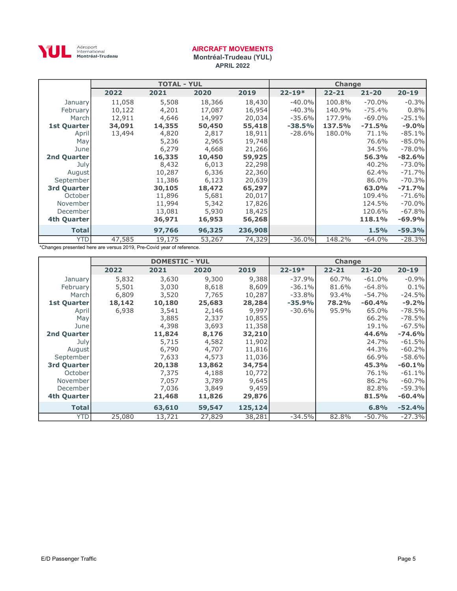

Montréal-Trudeau (YUL) APRIL 2022

|                    |        | <b>TOTAL - YUL</b> |        |         |            | <b>Change</b> |           |           |
|--------------------|--------|--------------------|--------|---------|------------|---------------|-----------|-----------|
|                    | 2022   | 2021               | 2020   | 2019    | $22 - 19*$ | $22 - 21$     | $21 - 20$ | $20 - 19$ |
| January            | 11,058 | 5,508              | 18,366 | 18,430  | $-40.0%$   | 100.8%        | $-70.0%$  | $-0.3%$   |
| <b>February</b>    | 10,122 | 4,201              | 17,087 | 16,954  | $-40.3%$   | 140.9%        | $-75.4%$  | 0.8%      |
| March              | 12,911 | 4,646              | 14,997 | 20,034  | $-35.6%$   | 177.9%        | $-69.0\%$ | $-25.1%$  |
| <b>1st Quarter</b> | 34,091 | 14,355             | 50,450 | 55,418  | $-38.5%$   | 137.5%        | $-71.5%$  | $-9.0%$   |
| April              | 13,494 | 4,820              | 2,817  | 18,911  | $-28.6%$   | 180.0%        | 71.1%     | $-85.1%$  |
| May                |        | 5,236              | 2,965  | 19,748  |            |               | 76.6%     | $-85.0\%$ |
| Junel              |        | 6,279              | 4,668  | 21,266  |            |               | 34.5%     | $-78.0\%$ |
| <b>2nd Quarter</b> |        | 16,335             | 10,450 | 59,925  |            |               | 56.3%     | $-82.6%$  |
| July               |        | 8,432              | 6,013  | 22,298  |            |               | 40.2%     | $-73.0\%$ |
| August             |        | 10,287             | 6,336  | 22,360  |            |               | 62.4%     | $-71.7%$  |
| September          |        | 11,386             | 6,123  | 20,639  |            |               | 86.0%     | $-70.3%$  |
| 3rd Quarter        |        | 30,105             | 18,472 | 65,297  |            |               | 63.0%     | $-71.7%$  |
| October            |        | 11,896             | 5,681  | 20,017  |            |               | 109.4%    | $-71.6%$  |
| November           |        | 11,994             | 5,342  | 17,826  |            |               | 124.5%    | $-70.0\%$ |
| December           |        | 13,081             | 5,930  | 18,425  |            |               | 120.6%    | $-67.8%$  |
| 4th Quarter        |        | 36,971             | 16,953 | 56,268  |            |               | 118.1%    | $-69.9%$  |
| <b>Total</b>       |        | 97,766             | 96,325 | 236,908 |            |               | 1.5%      | $-59.3%$  |
| <b>YTD</b>         | 47,585 | 19,175             | 53,267 | 74,329  | $-36.0%$   | 148.2%        | $-64.0%$  | $-28.3%$  |

|                    |        | <b>DOMESTIC - YUL</b> |        |         |            | <b>Change</b> |           |           |
|--------------------|--------|-----------------------|--------|---------|------------|---------------|-----------|-----------|
|                    | 2022   | 2021                  | 2020   | 2019    | $22 - 19*$ | $22 - 21$     | $21 - 20$ | $20 - 19$ |
| January            | 5,832  | 3,630                 | 9,300  | 9,388   | $-37.9%$   | 60.7%         | $-61.0%$  | $-0.9%$   |
| <b>February</b>    | 5,501  | 3,030                 | 8,618  | 8,609   | $-36.1%$   | 81.6%         | $-64.8%$  | 0.1%      |
| March              | 6,809  | 3,520                 | 7,765  | 10,287  | $-33.8%$   | 93.4%         | $-54.7%$  | $-24.5%$  |
| <b>1st Quarter</b> | 18,142 | 10,180                | 25,683 | 28,284  | $-35.9%$   | 78.2%         | $-60.4%$  | $-9.2%$   |
| April              | 6,938  | 3,541                 | 2,146  | 9,997   | $-30.6\%$  | 95.9%         | 65.0%     | $-78.5%$  |
| May                |        | 3,885                 | 2,337  | 10,855  |            |               | 66.2%     | $-78.5%$  |
| June               |        | 4,398                 | 3,693  | 11,358  |            |               | 19.1%     | $-67.5%$  |
| <b>2nd Quarter</b> |        | 11,824                | 8,176  | 32,210  |            |               | 44.6%     | $-74.6%$  |
| July               |        | 5,715                 | 4,582  | 11,902  |            |               | 24.7%     | $-61.5%$  |
| August             |        | 6,790                 | 4,707  | 11,816  |            |               | 44.3%     | $-60.2%$  |
| September          |        | 7,633                 | 4,573  | 11,036  |            |               | 66.9%     | $-58.6%$  |
| <b>3rd Quarter</b> |        | 20,138                | 13,862 | 34,754  |            |               | 45.3%     | $-60.1%$  |
| October            |        | 7,375                 | 4,188  | 10,772  |            |               | 76.1%     | $-61.1%$  |
| November           |        | 7,057                 | 3,789  | 9,645   |            |               | 86.2%     | $-60.7%$  |
| December           |        | 7,036                 | 3,849  | 9,459   |            |               | 82.8%     | $-59.3%$  |
| 4th Quarter        |        | 21,468                | 11,826 | 29,876  |            |               | 81.5%     | $-60.4%$  |
| <b>Total</b>       |        | 63,610                | 59,547 | 125,124 |            |               | 6.8%      | $-52.4%$  |
| <b>YTD</b>         | 25,080 | 13,721                | 27,829 | 38,281  | $-34.5%$   | 82.8%         | $-50.7%$  | $-27.3%$  |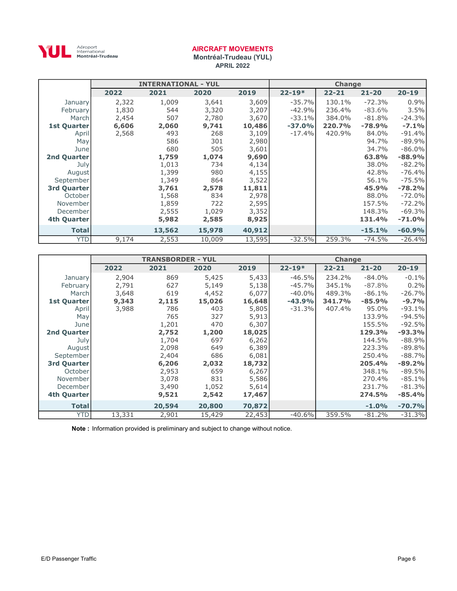

Montréal-Trudeau (YUL) APRIL 2022

|                 |       | <b>INTERNATIONAL - YUL</b> |        |        |            | <b>Change</b> |           |           |
|-----------------|-------|----------------------------|--------|--------|------------|---------------|-----------|-----------|
|                 | 2022  | 2021                       | 2020   | 2019   | $22 - 19*$ | $22 - 21$     | $21 - 20$ | $20 - 19$ |
| January         | 2,322 | 1,009                      | 3,641  | 3,609  | $-35.7%$   | 130.1%        | $-72.3%$  | 0.9%      |
| <b>February</b> | 1,830 | 544                        | 3,320  | 3,207  | $-42.9%$   | 236.4%        | $-83.6%$  | 3.5%      |
| March           | 2,454 | 507                        | 2,780  | 3,670  | $-33.1%$   | 384.0%        | $-81.8\%$ | $-24.3%$  |
| 1st Quarter     | 6,606 | 2,060                      | 9,741  | 10,486 | $-37.0%$   | 220.7%        | $-78.9%$  | $-7.1%$   |
| April           | 2,568 | 493                        | 268    | 3,109  | $-17.4%$   | 420.9%        | 84.0%     | $-91.4%$  |
| May             |       | 586                        | 301    | 2,980  |            |               | 94.7%     | $-89.9%$  |
| Junel           |       | 680                        | 505    | 3,601  |            |               | 34.7%     | $-86.0\%$ |
| 2nd Quarter     |       | 1,759                      | 1,074  | 9,690  |            |               | 63.8%     | $-88.9%$  |
| July            |       | 1,013                      | 734    | 4,134  |            |               | 38.0%     | $-82.2%$  |
| August          |       | 1,399                      | 980    | 4,155  |            |               | 42.8%     | $-76.4%$  |
| September       |       | 1,349                      | 864    | 3,522  |            |               | 56.1%     | $-75.5%$  |
| 3rd Quarter     |       | 3,761                      | 2,578  | 11,811 |            |               | 45.9%     | $-78.2%$  |
| October         |       | 1,568                      | 834    | 2,978  |            |               | 88.0%     | $-72.0%$  |
| November        |       | 1,859                      | 722    | 2,595  |            |               | 157.5%    | $-72.2%$  |
| December        |       | 2,555                      | 1,029  | 3,352  |            |               | 148.3%    | $-69.3%$  |
| 4th Quarter     |       | 5,982                      | 2,585  | 8,925  |            |               | 131.4%    | $-71.0%$  |
| <b>Total</b>    |       | 13,562                     | 15,978 | 40,912 |            |               | $-15.1%$  | $-60.9%$  |
| <b>YTD</b>      | 9,174 | 2,553                      | 10,009 | 13,595 | $-32.5%$   | 259.3%        | $-74.5%$  | $-26.4%$  |

|                    |        | <b>TRANSBORDER - YUL</b> |        |        |            | <b>Change</b> |           |           |
|--------------------|--------|--------------------------|--------|--------|------------|---------------|-----------|-----------|
|                    | 2022   | 2021                     | 2020   | 2019   | $22 - 19*$ | $22 - 21$     | $21 - 20$ | $20 - 19$ |
| January            | 2,904  | 869                      | 5,425  | 5,433  | $-46.5%$   | 234.2%        | $-84.0\%$ | $-0.1\%$  |
| February           | 2,791  | 627                      | 5,149  | 5,138  | $-45.7%$   | 345.1%        | $-87.8%$  | 0.2%      |
| March              | 3,648  | 619                      | 4,452  | 6,077  | $-40.0%$   | 489.3%        | $-86.1\%$ | $-26.7%$  |
| <b>1st Quarter</b> | 9,343  | 2,115                    | 15,026 | 16,648 | $-43.9%$   | 341.7%        | $-85.9%$  | $-9.7%$   |
| April              | 3,988  | 786                      | 403    | 5,805  | $-31.3%$   | 407.4%        | 95.0%     | $-93.1%$  |
| May                |        | 765                      | 327    | 5,913  |            |               | 133.9%    | $-94.5%$  |
| June               |        | 1,201                    | 470    | 6,307  |            |               | 155.5%    | $-92.5%$  |
| 2nd Quarter        |        | 2,752                    | 1,200  | 18,025 |            |               | 129.3%    | $-93.3%$  |
| July               |        | 1,704                    | 697    | 6,262  |            |               | 144.5%    | $-88.9%$  |
| August             |        | 2,098                    | 649    | 6,389  |            |               | 223.3%    | $-89.8%$  |
| September          |        | 2,404                    | 686    | 6,081  |            |               | 250.4%    | $-88.7%$  |
| 3rd Quarter        |        | 6,206                    | 2,032  | 18,732 |            |               | 205.4%    | $-89.2%$  |
| October            |        | 2,953                    | 659    | 6,267  |            |               | 348.1%    | $-89.5%$  |
| November           |        | 3,078                    | 831    | 5,586  |            |               | 270.4%    | $-85.1%$  |
| December           |        | 3,490                    | 1,052  | 5,614  |            |               | 231.7%    | $-81.3%$  |
| 4th Quarter        |        | 9,521                    | 2,542  | 17,467 |            |               | 274.5%    | $-85.4%$  |
| <b>Total</b>       |        | 20,594                   | 20,800 | 70,872 |            |               | $-1.0%$   | $-70.7%$  |
| <b>YTD</b>         | 13,331 | 2,901                    | 15,429 | 22,453 | $-40.6%$   | 359.5%        | $-81.2\%$ | $-31.3%$  |

Note : Information provided is preliminary and subject to change without notice.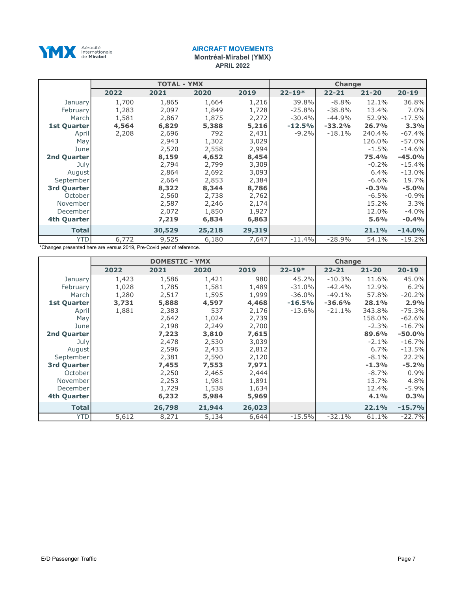

Montréal-Mirabel (YMX)

APRIL 2022

|                    | <b>TOTAL - YMX</b> |        |        |        | <b>Change</b> |           |           |           |
|--------------------|--------------------|--------|--------|--------|---------------|-----------|-----------|-----------|
|                    | 2022               | 2021   | 2020   | 2019   | $22 - 19*$    | $22 - 21$ | $21 - 20$ | $20 - 19$ |
| January            | 1,700              | 1,865  | 1,664  | 1,216  | 39.8%         | $-8.8%$   | 12.1%     | 36.8%     |
| <b>February</b>    | 1,283              | 2,097  | 1,849  | 1,728  | $-25.8%$      | $-38.8%$  | 13.4%     | $7.0\%$   |
| March              | 1,581              | 2,867  | 1,875  | 2,272  | $-30.4%$      | $-44.9%$  | 52.9%     | $-17.5%$  |
| <b>1st Quarter</b> | 4,564              | 6,829  | 5,388  | 5,216  | $-12.5%$      | $-33.2%$  | 26.7%     | 3.3%      |
| April              | 2,208              | 2,696  | 792    | 2,431  | $-9.2\%$      | $-18.1%$  | 240.4%    | $-67.4%$  |
| May                |                    | 2,943  | 1,302  | 3,029  |               |           | 126.0%    | $-57.0%$  |
| Junel              |                    | 2,520  | 2,558  | 2,994  |               |           | $-1.5\%$  | $-14.6%$  |
| <b>2nd Quarter</b> |                    | 8,159  | 4,652  | 8,454  |               |           | 75.4%     | $-45.0%$  |
| July               |                    | 2,794  | 2,799  | 3,309  |               |           | $-0.2%$   | $-15.4%$  |
| August             |                    | 2,864  | 2,692  | 3,093  |               |           | 6.4%      | $-13.0%$  |
| September          |                    | 2,664  | 2,853  | 2,384  |               |           | $-6.6\%$  | 19.7%     |
| 3rd Quarter        |                    | 8,322  | 8,344  | 8,786  |               |           | $-0.3%$   | $-5.0%$   |
| October            |                    | 2,560  | 2,738  | 2,762  |               |           | $-6.5\%$  | $-0.9%$   |
| November           |                    | 2,587  | 2,246  | 2,174  |               |           | 15.2%     | 3.3%      |
| December           |                    | 2,072  | 1,850  | 1,927  |               |           | 12.0%     | $-4.0\%$  |
| 4th Quarter        |                    | 7,219  | 6,834  | 6,863  |               |           | 5.6%      | $-0.4%$   |
| <b>Total</b>       |                    | 30,529 | 25,218 | 29,319 |               |           | 21.1%     | $-14.0%$  |
| <b>YTD</b>         | 6,772              | 9,525  | 6,180  | 7,647  | $-11.4%$      | $-28.9%$  | 54.1%     | $-19.2%$  |

|                    | <b>DOMESTIC - YMX</b> |        |        |        | <b>Change</b> |           |           |           |
|--------------------|-----------------------|--------|--------|--------|---------------|-----------|-----------|-----------|
|                    | 2022                  | 2021   | 2020   | 2019   | $22 - 19*$    | $22 - 21$ | $21 - 20$ | $20 - 19$ |
| January            | 1,423                 | 1,586  | 1,421  | 980    | 45.2%         | $-10.3%$  | 11.6%     | 45.0%     |
| <b>February</b>    | 1,028                 | 1,785  | 1,581  | 1,489  | $-31.0%$      | $-42.4%$  | 12.9%     | 6.2%      |
| March              | 1,280                 | 2,517  | 1,595  | 1,999  | $-36.0\%$     | $-49.1%$  | 57.8%     | $-20.2%$  |
| <b>1st Quarter</b> | 3,731                 | 5,888  | 4,597  | 4,468  | $-16.5%$      | $-36.6%$  | 28.1%     | 2.9%      |
| April              | 1,881                 | 2,383  | 537    | 2,176  | $-13.6%$      | $-21.1%$  | 343.8%    | $-75.3%$  |
| May                |                       | 2,642  | 1,024  | 2,739  |               |           | 158.0%    | $-62.6%$  |
| Junel              |                       | 2,198  | 2,249  | 2,700  |               |           | $-2.3%$   | $-16.7%$  |
| <b>2nd Quarter</b> |                       | 7,223  | 3,810  | 7,615  |               |           | 89.6%     | $-50.0%$  |
| July               |                       | 2,478  | 2,530  | 3,039  |               |           | $-2.1%$   | $-16.7%$  |
| August             |                       | 2,596  | 2,433  | 2,812  |               |           | 6.7%      | $-13.5%$  |
| September          |                       | 2,381  | 2,590  | 2,120  |               |           | $-8.1%$   | 22.2%     |
| <b>3rd Quarter</b> |                       | 7,455  | 7,553  | 7,971  |               |           | $-1.3%$   | $-5.2%$   |
| October            |                       | 2,250  | 2,465  | 2,444  |               |           | $-8.7%$   | 0.9%      |
| November           |                       | 2,253  | 1,981  | 1,891  |               |           | 13.7%     | 4.8%      |
| December           |                       | 1,729  | 1,538  | 1,634  |               |           | 12.4%     | $-5.9%$   |
| 4th Quarter        |                       | 6,232  | 5,984  | 5,969  |               |           | 4.1%      | 0.3%      |
| <b>Total</b>       |                       | 26,798 | 21,944 | 26,023 |               |           | 22.1%     | $-15.7%$  |
| <b>YTD</b>         | 5,612                 | 8,271  | 5,134  | 6,644  | $-15.5%$      | $-32.1%$  | 61.1%     | $-22.7%$  |